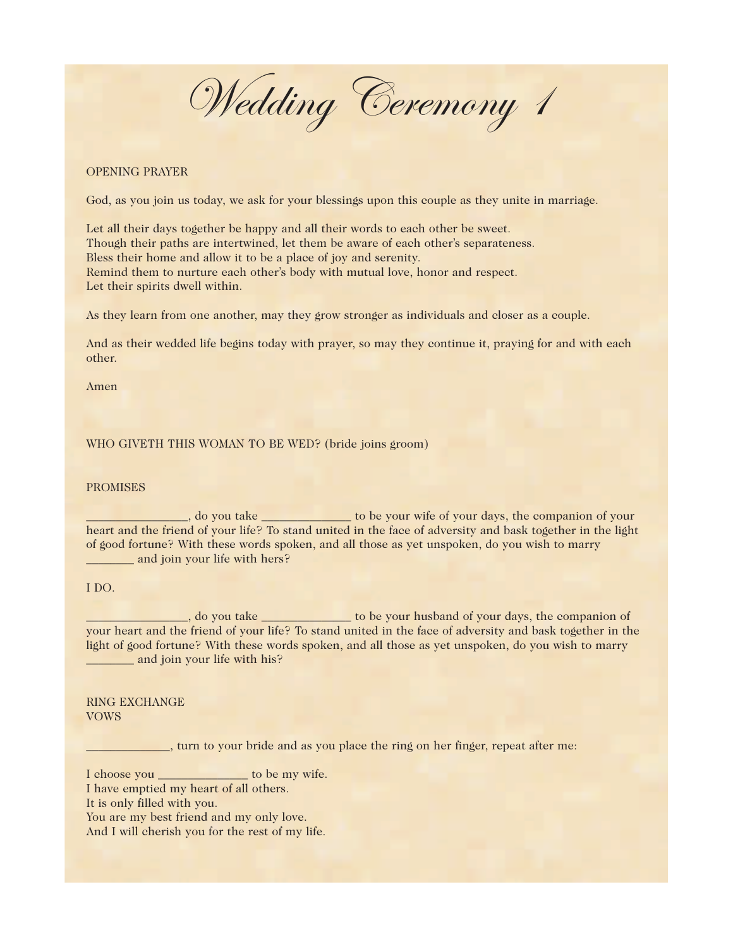Wedding Ceremony 1

## OPENING PRAYER

God, as you join us today, we ask for your blessings upon this couple as they unite in marriage.

Let all their days together be happy and all their words to each other be sweet. Though their paths are intertwined, let them be aware of each other's separateness. Bless their home and allow it to be a place of joy and serenity. Remind them to nurture each other's body with mutual love, honor and respect. Let their spirits dwell within.

As they learn from one another, may they grow stronger as individuals and closer as a couple.

And as their wedded life begins today with prayer, so may they continue it, praying for and with each other.

Amen

#### WHO GIVETH THIS WOMAN TO BE WED? (bride joins groom)

### PROMISES

\_\_\_\_, do you take \_\_\_\_\_\_\_\_\_\_\_\_\_\_\_\_ to be your wife of your days, the companion of your heart and the friend of your life? To stand united in the face of adversity and bask together in the light of good fortune? With these words spoken, and all those as yet unspoken, do you wish to marry \_\_\_\_\_\_\_\_ and join your life with hers?

#### I DO.

\_\_\_\_, do you take \_\_\_\_\_\_\_\_\_\_\_\_\_\_\_ to be your husband of your days, the companion of your heart and the friend of your life? To stand united in the face of adversity and bask together in the light of good fortune? With these words spoken, and all those as yet unspoken, do you wish to marry **\_\_\_\_\_\_\_** and join your life with his?

# RING EXCHANGE VOWS

\_\_\_\_\_\_\_\_\_\_\_\_\_\_, turn to your bride and as you place the ring on her finger, repeat after me:

I choose you \_\_\_\_\_\_\_\_\_\_\_\_\_\_\_ to be my wife.

I have emptied my heart of all others.

It is only filled with you.

You are my best friend and my only love.

And I will cherish you for the rest of my life.